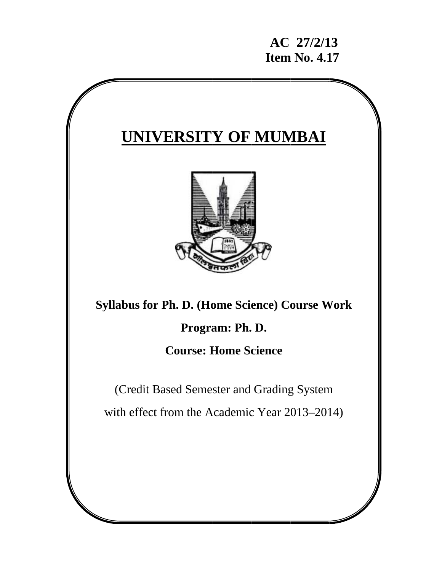# **UNIVERSITY OF MUMBAI**



**Syllabus for Ph. D. (Home Science) Course Work** 

**Progra am: Ph. D.** 

## **Course: Home Science**

(Credit Based Semester and Grading System

(Credit Based Semester and Grading System<br>with effect from the Academic Year 2013–2014)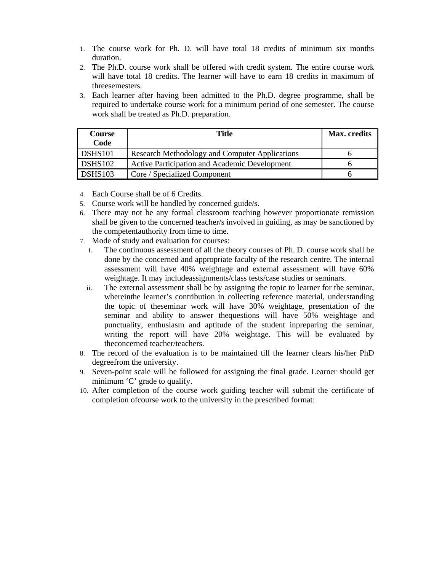- 1. The course work for Ph. D. will have total 18 credits of minimum six months duration.
- 2. The Ph.D. course work shall be offered with credit system. The entire course work will have total 18 credits. The learner will have to earn 18 credits in maximum of threesemesters.
- 3. Each learner after having been admitted to the Ph.D. degree programme, shall be required to undertake course work for a minimum period of one semester. The course work shall be treated as Ph.D. preparation.

| Course<br>Code        | <b>Title</b>                                   | Max. credits |
|-----------------------|------------------------------------------------|--------------|
| DSHS101               | Research Methodology and Computer Applications |              |
| DSHS102               | Active Participation and Academic Development  |              |
| $\overline{DSHS}$ 103 | Core / Specialized Component                   |              |

4. Each Course shall be of 6 Credits.

- 5. Course work will be handled by concerned guide/s.
- 6. There may not be any formal classroom teaching however proportionate remission shall be given to the concerned teacher/s involved in guiding, as may be sanctioned by the competentauthority from time to time.
- 7. Mode of study and evaluation for courses:
	- i. The continuous assessment of all the theory courses of Ph. D. course work shall be done by the concerned and appropriate faculty of the research centre. The internal assessment will have 40% weightage and external assessment will have 60% weightage. It may includeassignments/class tests/case studies or seminars.
	- ii. The external assessment shall be by assigning the topic to learner for the seminar, whereinthe learner's contribution in collecting reference material, understanding the topic of theseminar work will have 30% weightage, presentation of the seminar and ability to answer thequestions will have 50% weightage and punctuality, enthusiasm and aptitude of the student inpreparing the seminar, writing the report will have 20% weightage. This will be evaluated by theconcerned teacher/teachers.
- 8. The record of the evaluation is to be maintained till the learner clears his/her PhD degreefrom the university.
- 9. Seven-point scale will be followed for assigning the final grade. Learner should get minimum 'C' grade to qualify.
- 10. After completion of the course work guiding teacher will submit the certificate of completion ofcourse work to the university in the prescribed format: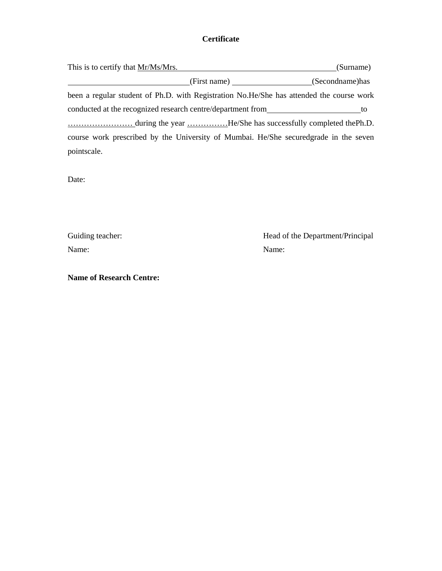## **Certificate**

| This is to certify that Mr/Ms/Mrs.                                                       | (Surname) |
|------------------------------------------------------------------------------------------|-----------|
| (First name) (Secondname) has                                                            |           |
| been a regular student of Ph.D. with Registration No.He/She has attended the course work |           |
| conducted at the recognized research centre/department from                              | to        |
|                                                                                          |           |
| course work prescribed by the University of Mumbai. He/She secured grade in the seven    |           |
| pointscale.                                                                              |           |

Date:

Name: Name:

Guiding teacher: Head of the Department/Principal

**Name of Research Centre:**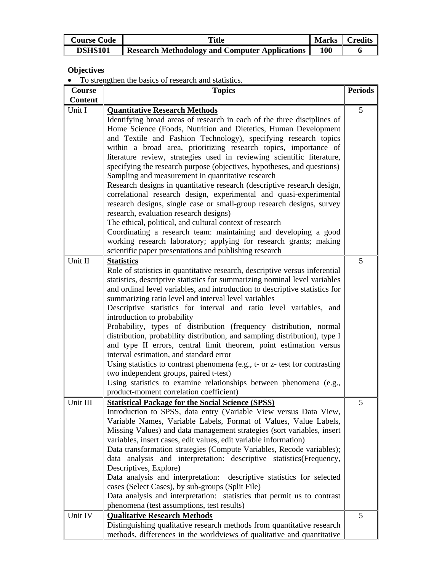| <b>Course Code</b> | <b>Title</b>                                   |     | Marks   Credits |
|--------------------|------------------------------------------------|-----|-----------------|
| <b>DSHS101</b>     | Research Methodology and Computer Applications | 100 |                 |

## **Objectives**

• To strengthen the basics of research and statistics.

| Course         | <b>Topics</b>                                                               | <b>Periods</b> |
|----------------|-----------------------------------------------------------------------------|----------------|
| <b>Content</b> |                                                                             |                |
| Unit I         | <b>Quantitative Research Methods</b>                                        | 5              |
|                | Identifying broad areas of research in each of the three disciplines of     |                |
|                | Home Science (Foods, Nutrition and Dietetics, Human Development             |                |
|                | and Textile and Fashion Technology), specifying research topics             |                |
|                | within a broad area, prioritizing research topics, importance of            |                |
|                | literature review, strategies used in reviewing scientific literature,      |                |
|                | specifying the research purpose (objectives, hypotheses, and questions)     |                |
|                | Sampling and measurement in quantitative research                           |                |
|                | Research designs in quantitative research (descriptive research design,     |                |
|                | correlational research design, experimental and quasi-experimental          |                |
|                | research designs, single case or small-group research designs, survey       |                |
|                | research, evaluation research designs)                                      |                |
|                | The ethical, political, and cultural context of research                    |                |
|                | Coordinating a research team: maintaining and developing a good             |                |
|                | working research laboratory; applying for research grants; making           |                |
|                | scientific paper presentations and publishing research                      |                |
|                |                                                                             |                |
| Unit II        | <b>Statistics</b>                                                           | 5              |
|                | Role of statistics in quantitative research, descriptive versus inferential |                |
|                | statistics, descriptive statistics for summarizing nominal level variables  |                |
|                | and ordinal level variables, and introduction to descriptive statistics for |                |
|                | summarizing ratio level and interval level variables                        |                |
|                | Descriptive statistics for interval and ratio level variables, and          |                |
|                | introduction to probability                                                 |                |
|                | Probability, types of distribution (frequency distribution, normal          |                |
|                | distribution, probability distribution, and sampling distribution), type I  |                |
|                | and type II errors, central limit theorem, point estimation versus          |                |
|                | interval estimation, and standard error                                     |                |
|                | Using statistics to contrast phenomena (e.g., t- or z- test for contrasting |                |
|                | two independent groups, paired t-test)                                      |                |
|                | Using statistics to examine relationships between phenomena (e.g.,          |                |
|                | product-moment correlation coefficient)                                     |                |
| Unit III       | <b>Statistical Package for the Social Science (SPSS)</b>                    | 5              |
|                | Introduction to SPSS, data entry (Variable View versus Data View,           |                |
|                | Variable Names, Variable Labels, Format of Values, Value Labels,            |                |
|                | Missing Values) and data management strategies (sort variables, insert      |                |
|                | variables, insert cases, edit values, edit variable information)            |                |
|                | Data transformation strategies (Compute Variables, Recode variables);       |                |
|                | data analysis and interpretation: descriptive statistics (Frequency,        |                |
|                | Descriptives, Explore)                                                      |                |
|                | Data analysis and interpretation: descriptive statistics for selected       |                |
|                | cases (Select Cases), by sub-groups (Split File)                            |                |
|                | Data analysis and interpretation: statistics that permit us to contrast     |                |
|                | phenomena (test assumptions, test results)                                  |                |
| Unit IV        |                                                                             | 5              |
|                | <b>Qualitative Research Methods</b>                                         |                |
|                | Distinguishing qualitative research methods from quantitative research      |                |
|                | methods, differences in the worldviews of qualitative and quantitative      |                |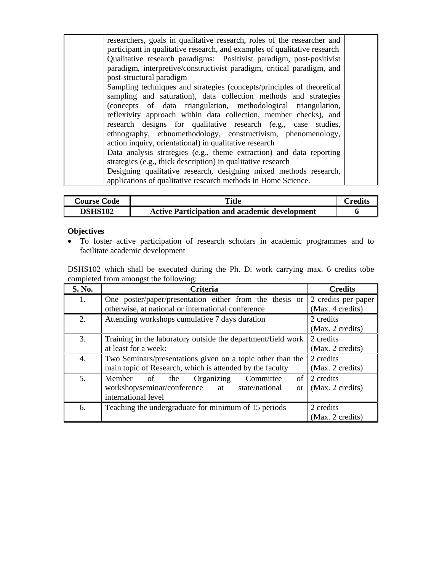| researchers, goals in qualitative research, roles of the researcher and   |  |
|---------------------------------------------------------------------------|--|
| participant in qualitative research, and examples of qualitative research |  |
|                                                                           |  |
| Qualitative research paradigms: Positivist paradigm, post-positivist      |  |
| paradigm, interpretive/constructivist paradigm, critical paradigm, and    |  |
| post-structural paradigm                                                  |  |
| Sampling techniques and strategies (concepts/principles of theoretical    |  |
| sampling and saturation), data collection methods and strategies          |  |
| (concepts of data triangulation, methodological triangulation,            |  |
| reflexivity approach within data collection, member checks), and          |  |
| research designs for qualitative research (e.g., case studies,            |  |
| ethnography, ethnomethodology, constructivism, phenomenology,             |  |
| action inquiry, orientational) in qualitative research                    |  |
| Data analysis strategies (e.g., theme extraction) and data reporting      |  |
| strategies (e.g., thick description) in qualitative research              |  |
| Designing qualitative research, designing mixed methods research,         |  |
| applications of qualitative research methods in Home Science.             |  |

| <b>Course Code</b> | Title                                                | `redits |
|--------------------|------------------------------------------------------|---------|
| DSHS102            | <b>Active Participation and academic development</b> |         |

## **Objectives**

• To foster active participation of research scholars in academic programmes and to facilitate academic development

DSHS102 which shall be executed during the Ph. D. work carrying max. 6 credits tobe completed from amongst the following:

| S. No. | <b>Criteria</b>                                                      | <b>Credits</b>      |
|--------|----------------------------------------------------------------------|---------------------|
| 1.     | One poster/paper/presentation either from the thesis or              | 2 credits per paper |
|        | otherwise, at national or international conference                   | (Max. 4 credits)    |
| 2.     | Attending workshops cumulative 7 days duration                       | 2 credits           |
|        |                                                                      | (Max. 2 credits)    |
| 3.     | Training in the laboratory outside the department/field work         | 2 credits           |
|        | at least for a week:                                                 | (Max. 2 credits)    |
| 4.     | Two Seminars/presentations given on a topic other than the           | 2 credits           |
|        | main topic of Research, which is attended by the faculty             | (Max. 2 credits)    |
| 5.     | Organizing<br>of<br>Member<br>of<br>Committee<br>the                 | 2 credits           |
|        | workshop/seminar/conference<br>state/national<br>at<br><sub>or</sub> | (Max. 2 credits)    |
|        | international level                                                  |                     |
| 6.     | Teaching the undergraduate for minimum of 15 periods                 | 2 credits           |
|        |                                                                      | (Max. 2 credits)    |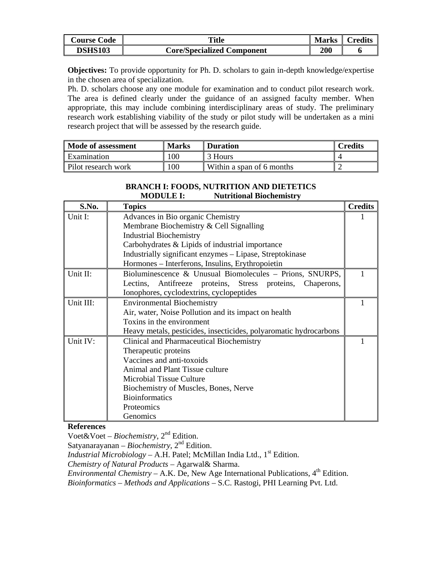| <b>Course Code</b> | <b>Title</b>                      | <b>Marks</b> | $C$ redits |
|--------------------|-----------------------------------|--------------|------------|
| <b>DSHS103</b>     | <b>Core/Specialized Component</b> | <b>200</b>   | o          |

**Objectives:** To provide opportunity for Ph. D. scholars to gain in-depth knowledge/expertise in the chosen area of specialization.

Ph. D. scholars choose any one module for examination and to conduct pilot research work. The area is defined clearly under the guidance of an assigned faculty member. When appropriate, this may include combining interdisciplinary areas of study. The preliminary research work establishing viability of the study or pilot study will be undertaken as a mini research project that will be assessed by the research guide.

| Mode of assessment  | <b>Marks</b> | <b>Duration</b>           | <b>Predits</b> |
|---------------------|--------------|---------------------------|----------------|
| Examination         | 00           | 3 Hours                   |                |
| Pilot research work | $^{\circ}00$ | Within a span of 6 months |                |

### **BRANCH I: FOODS, NUTRITION AND DIETETICS MODULE I: Nutritional Biochemistry**

| S.No.     | <b>Topics</b>                                                     | <b>Credits</b> |
|-----------|-------------------------------------------------------------------|----------------|
| Unit I:   | Advances in Bio organic Chemistry                                 |                |
|           | Membrane Biochemistry & Cell Signalling                           |                |
|           | <b>Industrial Biochemistry</b>                                    |                |
|           | Carbohydrates & Lipids of industrial importance                   |                |
|           | Industrially significant enzymes - Lipase, Streptokinase          |                |
|           | Hormones - Interferons, Insulins, Erythropoietin                  |                |
| Unit II:  | Bioluminescence & Unusual Biomolecules - Prions, SNURPS,          |                |
|           | Lectins, Antifreeze proteins, Stress proteins, Chaperons,         |                |
|           | Ionophores, cyclodextrins, cyclopeptides                          |                |
| Unit III: | <b>Environmental Biochemistry</b>                                 |                |
|           | Air, water, Noise Pollution and its impact on health              |                |
|           | Toxins in the environment                                         |                |
|           | Heavy metals, pesticides, insecticides, polyaromatic hydrocarbons |                |
| Unit IV:  | Clinical and Pharmaceutical Biochemistry                          |                |
|           | Therapeutic proteins                                              |                |
|           | Vaccines and anti-toxoids                                         |                |
|           | Animal and Plant Tissue culture                                   |                |
|           | <b>Microbial Tissue Culture</b>                                   |                |
|           | Biochemistry of Muscles, Bones, Nerve                             |                |
|           | <b>Bioinformatics</b>                                             |                |
|           | Proteomics                                                        |                |
|           | Genomics                                                          |                |

## **References**

Voet&Voet – *Biochemistry*, 2nd Edition.

Satyanarayanan – *Biochemistry*, 2nd Edition.

*Industrial Microbiology* – A.H. Patel; McMillan India Ltd.,  $1<sup>st</sup>$  Edition.

*Chemistry of Natural Products* – Agarwal& Sharma.

*Environmental Chemistry* – A.K. De, New Age International Publications,  $4^{\text{th}}$  Edition.

*Bioinformatics – Methods and Applications* – S.C. Rastogi, PHI Learning Pvt. Ltd.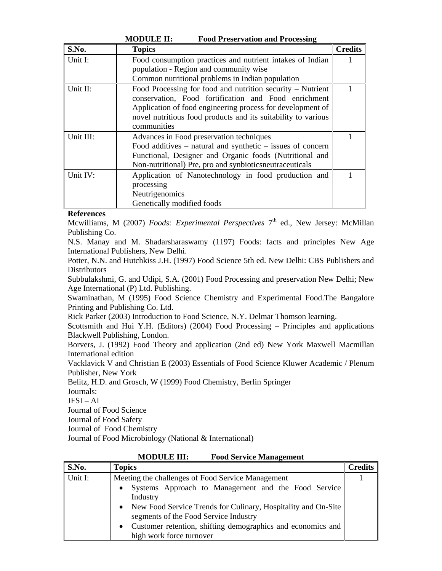|             | MUDULE 11.<br>P UVA T LESEI VALION AND T LUCESSING             |                |
|-------------|----------------------------------------------------------------|----------------|
| S.No.       | <b>Topics</b>                                                  | <b>Credits</b> |
| Unit I:     | Food consumption practices and nutrient intakes of Indian      |                |
|             | population - Region and community wise                         |                |
|             | Common nutritional problems in Indian population               |                |
| Unit $II$ : | Food Processing for food and nutrition security – Nutrient     |                |
|             | conservation, Food fortification and Food enrichment           |                |
|             | Application of food engineering process for development of     |                |
|             | novel nutritious food products and its suitability to various  |                |
|             | communities                                                    |                |
| Unit III:   | Advances in Food preservation techniques                       |                |
|             | Food additives $-$ natural and synthetic $-$ issues of concern |                |
|             | Functional, Designer and Organic foods (Nutritional and        |                |
|             | Non-nutritional) Pre, pro and synbiotics neutraceuticals       |                |
| Unit IV:    | Application of Nanotechnology in food production and           |                |
|             | processing                                                     |                |
|             | Neutrigenomics                                                 |                |
|             | Genetically modified foods                                     |                |

## **MODULE II: Food Preservation and Processing**

## **References**

Mcwilliams, M (2007) *Foods: Experimental Perspectives* 7<sup>th</sup> ed., New Jersey: McMillan Publishing Co.

N.S. Manay and M. Shadarsharaswamy (1197) Foods: facts and principles New Age International Publishers, New Delhi.

Potter, N.N. and Hutchkiss J.H. (1997) Food Science 5th ed. New Delhi: CBS Publishers and **Distributors** 

Subbulakshmi, G. and Udipi, S.A. (2001) Food Processing and preservation New Delhi; New Age International (P) Ltd. Publishing.

Swaminathan, M (1995) Food Science Chemistry and Experimental Food.The Bangalore Printing and Publishing Co. Ltd.

Rick Parker (2003) Introduction to Food Science, N.Y. Delmar Thomson learning.

Scottsmith and Hui Y.H. (Editors) (2004) Food Processing – Principles and applications Blackwell Publishing, London.

Borvers, J. (1992) Food Theory and application (2nd ed) New York Maxwell Macmillan International edition

Vacklavick V and Christian E (2003) Essentials of Food Science Kluwer Academic / Plenum Publisher, New York

Belitz, H.D. and Grosch, W (1999) Food Chemistry, Berlin Springer

Journals:

 $JFSI - AI$ 

Journal of Food Science

Journal of Food Safety

Journal of Food Chemistry

Journal of Food Microbiology (National & International)

| S.No.   | <b>Topics</b>                                                                                                         | <b>Credits</b> |
|---------|-----------------------------------------------------------------------------------------------------------------------|----------------|
| Unit I: | Meeting the challenges of Food Service Management<br>Systems Approach to Management and the Food Service<br>$\bullet$ |                |
|         | Industry                                                                                                              |                |
|         | • New Food Service Trends for Culinary, Hospitality and On-Site<br>segments of the Food Service Industry              |                |
|         | Customer retention, shifting demographics and economics and<br>$\bullet$<br>high work force turnover                  |                |

**MODULE III: Food Service Management**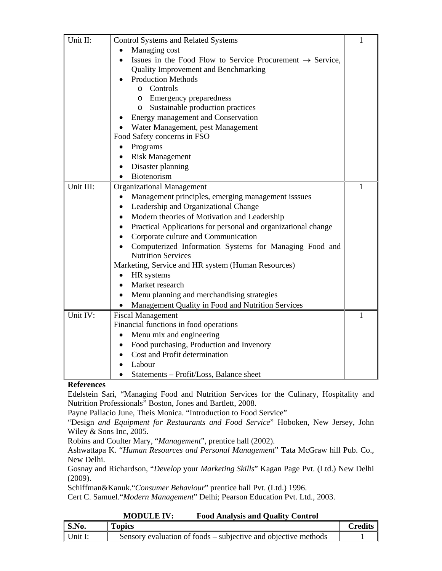| Unit II:  | <b>Control Systems and Related Systems</b>                                 | $\mathbf{1}$ |
|-----------|----------------------------------------------------------------------------|--------------|
|           | Managing cost<br>$\bullet$                                                 |              |
|           | Issues in the Food Flow to Service Procurement $\rightarrow$ Service,      |              |
|           | <b>Quality Improvement and Benchmarking</b>                                |              |
|           | <b>Production Methods</b>                                                  |              |
|           | o Controls                                                                 |              |
|           | o Emergency preparedness                                                   |              |
|           | Sustainable production practices<br>$\circ$                                |              |
|           | Energy management and Conservation                                         |              |
|           | Water Management, pest Management                                          |              |
|           | Food Safety concerns in FSO                                                |              |
|           | Programs                                                                   |              |
|           | <b>Risk Management</b>                                                     |              |
|           | Disaster planning                                                          |              |
|           | Biotenorism                                                                |              |
| Unit III: | <b>Organizational Management</b>                                           | 1            |
|           | Management principles, emerging management isssues<br>$\bullet$            |              |
|           | Leadership and Organizational Change<br>$\bullet$                          |              |
|           | Modern theories of Motivation and Leadership<br>$\bullet$                  |              |
|           | Practical Applications for personal and organizational change<br>$\bullet$ |              |
|           | Corporate culture and Communication                                        |              |
|           | Computerized Information Systems for Managing Food and                     |              |
|           | <b>Nutrition Services</b>                                                  |              |
|           | Marketing, Service and HR system (Human Resources)                         |              |
|           | HR systems                                                                 |              |
|           | Market research<br>$\bullet$                                               |              |
|           | Menu planning and merchandising strategies                                 |              |
|           | Management Quality in Food and Nutrition Services                          |              |
| Unit IV:  | <b>Fiscal Management</b>                                                   | 1            |
|           | Financial functions in food operations                                     |              |
|           | Menu mix and engineering                                                   |              |
|           | Food purchasing, Production and Invenory<br>$\bullet$                      |              |
|           | Cost and Profit determination<br>$\bullet$                                 |              |
|           | Labour                                                                     |              |
|           | Statements - Profit/Loss, Balance sheet                                    |              |

Edelstein Sari, "Managing Food and Nutrition Services for the Culinary, Hospitality and Nutrition Professionals" Boston, Jones and Bartlett, 2008.

Payne Pallacio June, Theis Monica. "Introduction to Food Service"

"Design *and Equipment for Restaurants and Food Service*" Hoboken, New Jersey, John Wiley & Sons Inc, 2005.

Robins and Coulter Mary, "*Management*", prentice hall (2002).

Ashwattapa K. "*Human Resources and Personal Management*" Tata McGraw hill Pub. Co., New Delhi.

Gosnay and Richardson, "*Develop* your *Marketing Skills*" Kagan Page Pvt. (Ltd.) New Delhi (2009).

Schiffman&Kanuk."*Consumer Behaviour*" prentice hall Pvt. (Ltd.) 1996.

Cert C. Samuel."*Modern Management*" Delhi; Pearson Education Pvt. Ltd., 2003.

| <b>MODULE IV:</b> | <b>Food Analysis and Quality Control</b> |
|-------------------|------------------------------------------|
|-------------------|------------------------------------------|

| S.No.   | <b>Topics</b>                                                  | `redits |
|---------|----------------------------------------------------------------|---------|
| Unit I: | Sensory evaluation of foods – subjective and objective methods |         |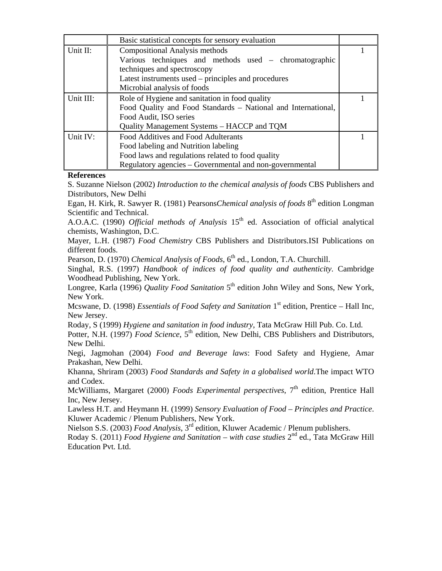|           | Basic statistical concepts for sensory evaluation             |  |
|-----------|---------------------------------------------------------------|--|
| Unit II:  | Compositional Analysis methods                                |  |
|           | Various techniques and methods used – chromatographic         |  |
|           | techniques and spectroscopy                                   |  |
|           | Latest instruments used – principles and procedures           |  |
|           | Microbial analysis of foods                                   |  |
| Unit III: | Role of Hygiene and sanitation in food quality                |  |
|           | Food Quality and Food Standards - National and International, |  |
|           | Food Audit, ISO series                                        |  |
|           | Quality Management Systems – HACCP and TQM                    |  |
| Unit IV:  | Food Additives and Food Adulterants                           |  |
|           | Food labeling and Nutrition labeling                          |  |
|           | Food laws and regulations related to food quality             |  |
|           | Regulatory agencies – Governmental and non-governmental       |  |

S. Suzanne Nielson (2002) *Introduction to the chemical analysis of foods* CBS Publishers and Distributors, New Delhi

Egan, H. Kirk, R. Sawyer R. (1981) Pearsons*Chemical analysis of foods* 8<sup>th</sup> edition Longman Scientific and Technical.

A.O.A.C. (1990) *Official methods of Analysis* 15<sup>th</sup> ed. Association of official analytical chemists, Washington, D.C.

Mayer, L.H. (1987) *Food Chemistry* CBS Publishers and Distributors.ISI Publications on different foods.

Pearson, D. (1970) *Chemical Analysis of Foods*, 6<sup>th</sup> ed., London, T.A. Churchill.

Singhal, R.S. (1997) *Handbook of indices of food quality and authenticity*. Cambridge Woodhead Publishing, New York.

Longree, Karla (1996) *Quality Food Sanitation* 5<sup>th</sup> edition John Wiley and Sons, New York, New York.

Mcswane, D. (1998) *Essentials of Food Safety and Sanitation* 1<sup>st</sup> edition, Prentice – Hall Inc, New Jersey.

Roday, S (1999) *Hygiene and sanitation in food industry*, Tata McGraw Hill Pub. Co. Ltd.

Potter, N.H. (1997) *Food Science*, 5<sup>th</sup> edition, New Delhi, CBS Publishers and Distributors, New Delhi.

Negi, Jagmohan (2004) *Food and Beverage laws*: Food Safety and Hygiene, Amar Prakashan, New Delhi.

Khanna, Shriram (2003) *Food Standards and Safety in a globalised world*.The impact WTO and Codex.

McWilliams, Margaret (2000) *Foods Experimental perspectives*, 7<sup>th</sup> edition, Prentice Hall Inc, New Jersey.

Lawless H.T. and Heymann H. (1999) *Sensory Evaluation of Food – Principles and Practice*. Kluwer Academic / Plenum Publishers, New York.

Nielson S.S. (2003) *Food Analysis*, 3rd edition, Kluwer Academic / Plenum publishers.

Roday S. (2011) *Food Hygiene and Sanitation – with case studies*  $2^{nd}$  ed., Tata McGraw Hill Education Pvt. Ltd.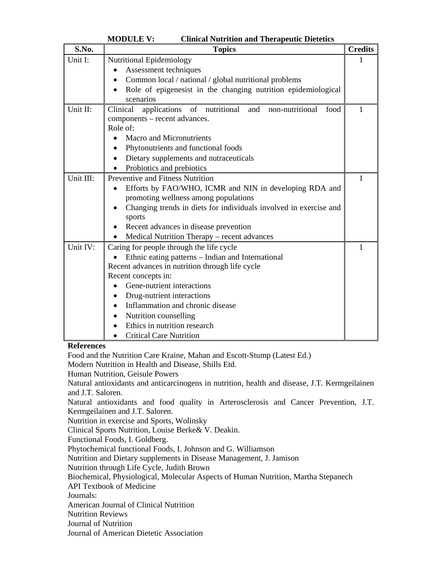|                   | <b>MODULE V:</b><br><b>Clinical Nutrition and Therapeutic Dietetics</b>      |                |
|-------------------|------------------------------------------------------------------------------|----------------|
| S.No.             | <b>Topics</b>                                                                | <b>Credits</b> |
| Unit I:           | Nutritional Epidemiology                                                     | 1              |
|                   | Assessment techniques                                                        |                |
|                   | Common local / national / global nutritional problems                        |                |
|                   | Role of epigenesist in the changing nutrition epidemiological<br>scenarios   |                |
| Unit II:          | of nutritional<br>applications<br>Clinical<br>and<br>non-nutritional<br>food | 1              |
|                   | components – recent advances.                                                |                |
|                   | Role of:                                                                     |                |
|                   | <b>Macro and Micronutrients</b><br>$\bullet$                                 |                |
|                   | Phytonutrients and functional foods                                          |                |
|                   | Dietary supplements and nutraceuticals                                       |                |
|                   | Probiotics and prebiotics<br>$\bullet$                                       |                |
| Unit III:         | Preventive and Fitness Nutrition                                             | 1              |
|                   | Efforts by FAO/WHO, ICMR and NIN in developing RDA and                       |                |
|                   | promoting wellness among populations                                         |                |
|                   | Changing trends in diets for individuals involved in exercise and            |                |
|                   | sports                                                                       |                |
|                   | Recent advances in disease prevention                                        |                |
|                   | Medical Nutrition Therapy - recent advances<br>$\bullet$                     |                |
| Unit IV:          | Caring for people through the life cycle                                     | $\mathbf{1}$   |
|                   | Ethnic eating patterns – Indian and International                            |                |
|                   | Recent advances in nutrition through life cycle                              |                |
|                   | Recent concepts in:                                                          |                |
|                   | Gene-nutrient interactions                                                   |                |
|                   | Drug-nutrient interactions                                                   |                |
|                   | Inflammation and chronic disease                                             |                |
|                   | Nutrition counselling                                                        |                |
|                   | Ethics in nutrition research                                                 |                |
|                   | <b>Critical Care Nutrition</b><br>$\bullet$                                  |                |
| <b>References</b> |                                                                              |                |
|                   | Food and the Nutrition Care Kraine, Mahan and Escott-Stump (Latest Ed.)      |                |

Food and the Nutrition Care Kraine, Mahan and Escott-Stump (Latest Ed.)

Modern Nutrition in Health and Disease, Shills Etd.

Human Nutrition, Geisule Powers

Natural antioxidants and anticarcinogens in nutrition, health and disease, J.T. Kermgeilainen and J.T. Saloren.

Natural antioxidants and food quality in Arterosclerosis and Cancer Prevention, J.T. Kermgeilainen and J.T. Saloren.

Nutrition in exercise and Sports, Wolinsky

Clinical Sports Nutrition, Louise Berke& V. Deakin.

Functional Foods, I. Goldberg.

Phytochemical functional Foods, I. Johnson and G. Williamson

Nutrition and Dietary supplements in Disease Management, J. Jamison

Nutrition through Life Cycle, Judith Brown

Biochemical, Physiological, Molecular Aspects of Human Nutrition, Martha Stepanech

API Textbook of Medicine

Journals:

American Journal of Clinical Nutrition

Nutrition Reviews

Journal of Nutrition

Journal of American Dietetic Association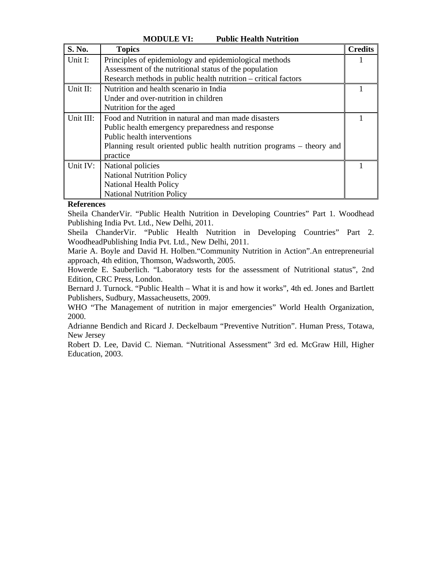| S. No.    | <b>Topics</b>                                                          | <b>Credits</b> |
|-----------|------------------------------------------------------------------------|----------------|
| Unit I:   | Principles of epidemiology and epidemiological methods                 |                |
|           | Assessment of the nutritional status of the population                 |                |
|           | Research methods in public health nutrition – critical factors         |                |
| Unit II:  | Nutrition and health scenario in India                                 |                |
|           | Under and over-nutrition in children                                   |                |
|           | Nutrition for the aged                                                 |                |
| Unit III: | Food and Nutrition in natural and man made disasters                   |                |
|           | Public health emergency preparedness and response                      |                |
|           | Public health interventions                                            |                |
|           | Planning result oriented public health nutrition programs – theory and |                |
|           | practice                                                               |                |
| Unit IV:  | National policies                                                      |                |
|           | <b>National Nutrition Policy</b>                                       |                |
|           | <b>National Health Policy</b>                                          |                |
|           | <b>National Nutrition Policy</b>                                       |                |

**MODULE VI: Public Health Nutrition** 

Sheila ChanderVir. "Public Health Nutrition in Developing Countries" Part 1. Woodhead Publishing India Pvt. Ltd., New Delhi, 2011.

Sheila ChanderVir. "Public Health Nutrition in Developing Countries" Part 2. WoodheadPublishing India Pvt. Ltd., New Delhi, 2011.

Marie A. Boyle and David H. Holben."Community Nutrition in Action".An entrepreneurial approach, 4th edition, Thomson, Wadsworth, 2005.

Howerde E. Sauberlich. "Laboratory tests for the assessment of Nutritional status", 2nd Edition, CRC Press, London.

Bernard J. Turnock. "Public Health – What it is and how it works", 4th ed. Jones and Bartlett Publishers, Sudbury, Massacheusetts, 2009.

WHO "The Management of nutrition in major emergencies" World Health Organization, 2000.

Adrianne Bendich and Ricard J. Deckelbaum "Preventive Nutrition". Human Press, Totawa, New Jersey

Robert D. Lee, David C. Nieman. "Nutritional Assessment" 3rd ed. McGraw Hill, Higher Education, 2003.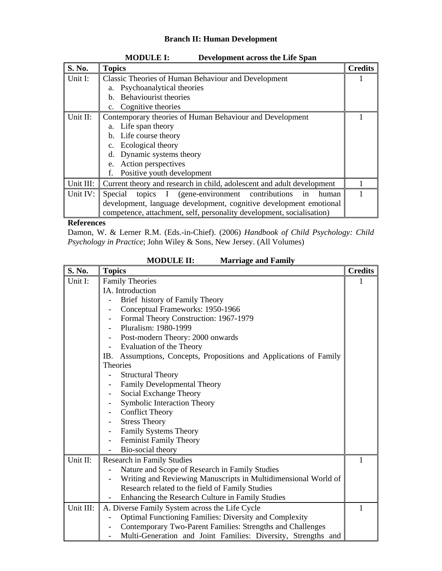## **Branch II: Human Development**

| S. No.    | <b>Topics</b>                                                          | <b>Credits</b> |
|-----------|------------------------------------------------------------------------|----------------|
| Unit I:   | <b>Classic Theories of Human Behaviour and Development</b>             |                |
|           | a. Psychoanalytical theories                                           |                |
|           | Behaviourist theories<br>h.                                            |                |
|           | Cognitive theories<br>$\mathbf{c}$ .                                   |                |
| Unit II:  | Contemporary theories of Human Behaviour and Development               |                |
|           | a. Life span theory                                                    |                |
|           | b. Life course theory                                                  |                |
|           | Ecological theory<br>$c_{\cdot}$                                       |                |
|           | d. Dynamic systems theory                                              |                |
|           | e. Action perspectives                                                 |                |
|           | Positive youth development                                             |                |
| Unit III: | Current theory and research in child, adolescent and adult development |                |
| Unit IV:  | topics I (gene-environment contributions<br>Special<br>human<br>in     |                |
|           | development, language development, cognitive development emotional     |                |
|           | competence, attachment, self, personality development, socialisation)  |                |

**MODULE I: Development across the Life Span** 

**References** 

Damon, W. & Lerner R.M. (Eds.-in-Chief). (2006) *Handbook of Child Psychology: Child Psychology in Practice*; John Wiley & Sons, New Jersey. (All Volumes)

| S. No.    | <b>Topics</b>                                                      | <b>Credits</b> |
|-----------|--------------------------------------------------------------------|----------------|
| Unit I:   | <b>Family Theories</b>                                             |                |
|           | IA. Introduction                                                   |                |
|           | Brief history of Family Theory                                     |                |
|           | Conceptual Frameworks: 1950-1966                                   |                |
|           | Formal Theory Construction: 1967-1979<br>$\overline{\phantom{a}}$  |                |
|           | Pluralism: 1980-1999                                               |                |
|           | Post-modern Theory: 2000 onwards                                   |                |
|           | Evaluation of the Theory                                           |                |
|           | IB. Assumptions, Concepts, Propositions and Applications of Family |                |
|           | <b>Theories</b>                                                    |                |
|           | <b>Structural Theory</b>                                           |                |
|           | Family Developmental Theory                                        |                |
|           | Social Exchange Theory                                             |                |
|           | Symbolic Interaction Theory                                        |                |
|           | <b>Conflict Theory</b>                                             |                |
|           | <b>Stress Theory</b><br>-                                          |                |
|           | Family Systems Theory                                              |                |
|           | Feminist Family Theory                                             |                |
|           | Bio-social theory                                                  |                |
| Unit II:  | <b>Research in Family Studies</b>                                  | 1              |
|           | Nature and Scope of Research in Family Studies                     |                |
|           | Writing and Reviewing Manuscripts in Multidimensional World of     |                |
|           | Research related to the field of Family Studies                    |                |
|           | Enhancing the Research Culture in Family Studies                   |                |
| Unit III: | A. Diverse Family System across the Life Cycle                     | 1              |
|           | <b>Optimal Functioning Families: Diversity and Complexity</b>      |                |
|           | Contemporary Two-Parent Families: Strengths and Challenges         |                |
|           | Multi-Generation and Joint Families: Diversity, Strengths and      |                |

**MODULE II: Marriage and Family**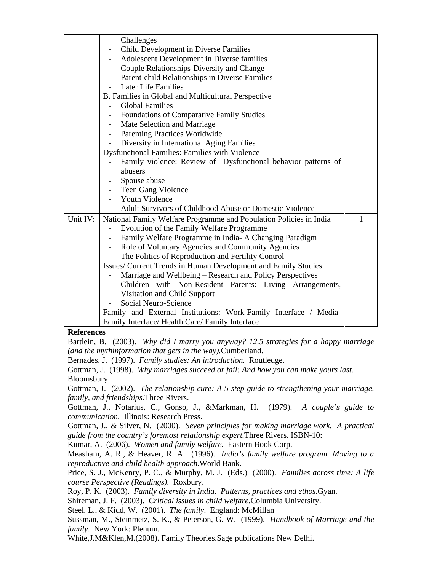|          | Challenges                                                         |   |
|----------|--------------------------------------------------------------------|---|
|          | Child Development in Diverse Families                              |   |
|          | Adolescent Development in Diverse families                         |   |
|          | Couple Relationships-Diversity and Change                          |   |
|          | Parent-child Relationships in Diverse Families                     |   |
|          | <b>Later Life Families</b>                                         |   |
|          | B. Families in Global and Multicultural Perspective                |   |
|          | <b>Global Families</b>                                             |   |
|          | <b>Foundations of Comparative Family Studies</b>                   |   |
|          | Mate Selection and Marriage                                        |   |
|          | Parenting Practices Worldwide                                      |   |
|          | Diversity in International Aging Families                          |   |
|          | Dysfunctional Families: Families with Violence                     |   |
|          | Family violence: Review of Dysfunctional behavior patterns of      |   |
|          | abusers                                                            |   |
|          | Spouse abuse                                                       |   |
|          | Teen Gang Violence                                                 |   |
|          | <b>Youth Violence</b>                                              |   |
|          | Adult Survivors of Childhood Abuse or Domestic Violence            |   |
| Unit IV: | National Family Welfare Programme and Population Policies in India | 1 |
|          | Evolution of the Family Welfare Programme                          |   |
|          | Family Welfare Programme in India- A Changing Paradigm             |   |
|          | Role of Voluntary Agencies and Community Agencies                  |   |
|          | The Politics of Reproduction and Fertility Control                 |   |
|          | Issues/ Current Trends in Human Development and Family Studies     |   |
|          | Marriage and Wellbeing - Research and Policy Perspectives          |   |
|          | Children with Non-Resident Parents: Living Arrangements,           |   |
|          | Visitation and Child Support                                       |   |
|          | Social Neuro-Science                                               |   |
|          | Family and External Institutions: Work-Family Interface / Media-   |   |
|          | Family Interface/ Health Care/ Family Interface                    |   |

Bartlein, B. (2003). *Why did I marry you anyway? 12.5 strategies for a happy marriage (and the mythinformation that gets in the way).*Cumberland.

Bernades, J. (1997). *Family studies: An introduction.* Routledge.

Gottman, J. (1998). *Why marriages succeed or fail: And how you can make yours last.* Bloomsbury.

Gottman, J. (2002). *The relationship cure: A 5 step guide to strengthening your marriage, family, and friendships.*Three Rivers.

Gottman, J., Notarius, C., Gonso, J., &Markman, H. (1979). *A couple's guide to communication.* Illinois: Research Press.

Gottman, J., & Silver, N. (2000). *Seven principles for making marriage work. A practical guide from the country's foremost relationship expert.*Three Rivers. ISBN-10:

Kumar, A. (2006). *Women and family welfare.* Eastern Book Corp.

Measham, A. R., & Heaver, R. A. (1996). *India's family welfare program. Moving to a reproductive and child health approach.*World Bank.

Price, S. J., McKenry, P. C., & Murphy, M. J. (Eds.) (2000). *Families across time: A life course Perspective (Readings).* Roxbury.

Roy, P. K. (2003). *Family diversity in India. Patterns, practices and ethos.*Gyan.

Shireman, J. F. (2003). *Critical issues in child welfare.*Columbia University.

Steel, L., & Kidd, W. (2001). *The family*. England: McMillan

Sussman, M., Steinmetz, S. K., & Peterson, G. W. (1999). *Handbook of Marriage and the family*. New York: Plenum.

White,J.M&Klen,M.(2008). Family Theories.Sage publications New Delhi.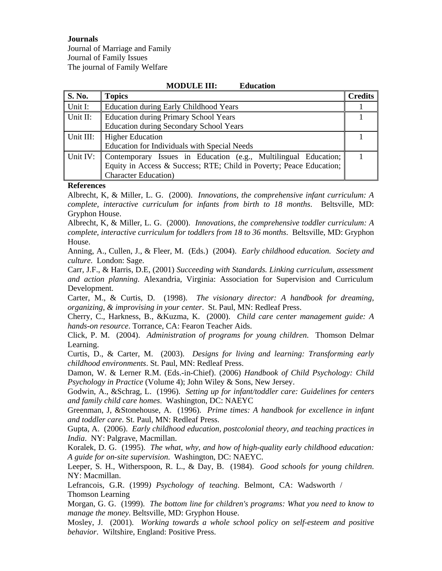**Journals** 

Journal of Marriage and Family Journal of Family Issues The journal of Family Welfare

## **MODULE III: Education S. No.** Topics **Credits** Unit I: Education during Early Childhood Years 1<br>
Unit II: Education during Primery School Years 1 Unit II: Education during Primary School Years

1

| 11 UIIIU 11. | Education during Frimaly School Tears                               |  |
|--------------|---------------------------------------------------------------------|--|
|              | <b>Education during Secondary School Years</b>                      |  |
| Unit III:    | <b>Higher Education</b>                                             |  |
|              | Education for Individuals with Special Needs                        |  |
| Unit IV:     | Contemporary Issues in Education (e.g., Multilingual Education;     |  |
|              | Equity in Access & Success; RTE; Child in Poverty; Peace Education; |  |
|              | <b>Character Education</b> )                                        |  |

## **References**

Albrecht, K, & Miller, L. G. (2000). *Innovations, the comprehensive infant curriculum: A complete, interactive curriculum for infants from birth to 18 months*. Beltsville, MD: Gryphon House.

Albrecht, K, & Miller, L. G. (2000). *Innovations, the comprehensive toddler curriculum: A complete, interactive curriculum for toddlers from 18 to 36 months*. Beltsville, MD: Gryphon House.

Anning, A., Cullen, J., & Fleer, M. (Eds.) (2004). *Early childhood education. Society and culture*. London: Sage.

Carr, J.F., & Harris, D.E, (2001) *Succeeding with Standards. Linking curriculum, assessment and action planning*. Alexandria, Virginia: Association for Supervision and Curriculum Development.

Carter, M., & Curtis, D. (1998). *The visionary director: A handbook for dreaming, organizing, & improvising in your center*. St. Paul, MN: Redleaf Press.

Cherry, C., Harkness, B., &Kuzma, K. (2000). *Child care center management guide: A hands-on resource*. Torrance, CA: Fearon Teacher Aids.

Click, P. M. (2004). *Administration of programs for young children*. Thomson Delmar Learning.

Curtis, D., & Carter, M. (2003). *Designs for living and learning: Transforming early childhood environments*. St. Paul, MN: Redleaf Press.

Damon, W. & Lerner R.M. (Eds.-in-Chief). (2006) *Handbook of Child Psychology: Child Psychology in Practice* (Volume 4); John Wiley & Sons, New Jersey.

Godwin, A., &Schrag, L. (1996). *Setting up for infant/toddler care: Guidelines for centers and family child care homes*. Washington, DC: NAEYC

Greenman, J, &Stonehouse, A. (1996). *Prime times: A handbook for excellence in infant and toddler care*. St. Paul, MN: Redleaf Press.

Gupta, A. (2006). *Early childhood education, postcolonial theory, and teaching practices in India*. NY: Palgrave, Macmillan.

Koralek, D. G. (1995). *The what, why, and how of high-quality early childhood education: A guide for on-site supervision*. Washington, DC: NAEYC.

Leeper, S. H., Witherspoon, R. L., & Day, B. (1984). *Good schools for young children*. NY: Macmillan.

Lefrancois, G.R. (1999*) Psychology of teaching*. Belmont, CA: Wadsworth / Thomson Learning

Morgan, G. G. (1999). *The bottom line for children's programs: What you need to know to manage the money*. Beltsville, MD: Gryphon House.

Mosley, J. (2001). *Working towards a whole school policy on self-esteem and positive behavior*. Wiltshire, England: Positive Press.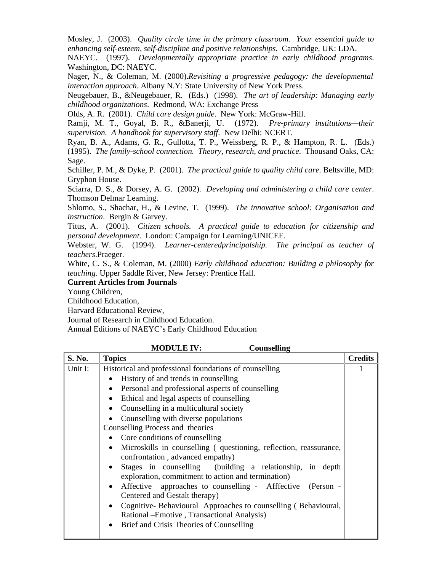Mosley, J. (2003). *Quality circle time in the primary classroom. Your essential guide to enhancing self-esteem, self-discipline and positive relationships*. Cambridge, UK: LDA.

NAEYC. (1997). *Developmentally appropriate practice in early childhood programs*. Washington, DC: NAEYC.

Nager, N., & Coleman, M. (2000).*Revisiting a progressive pedagogy: the developmental interaction approach*. Albany N.Y: State University of New York Press.

Neugebauer, B., &Neugebauer, R. (Eds.) (1998). *The art of leadership: Managing early childhood organizations*. Redmond, WA: Exchange Press

Olds, A. R. (2001). *Child care design guide*. New York: McGraw-Hill.

Ramji, M. T., Goyal, B. R., &Banerji, U. (1972). *Pre-primary institutions—their supervision. A handbook for supervisory staff*. New Delhi: NCERT.

Ryan, B. A., Adams, G. R., Gullotta, T. P., Weissberg, R. P., & Hampton, R. L. (Eds.) (1995). *The family-school connection. Theory, research, and practice*. Thousand Oaks, CA: Sage.

Schiller, P. M., & Dyke, P. (2001). *The practical guide to quality child care*. Beltsville, MD: Gryphon House.

Sciarra, D. S., & Dorsey, A. G. (2002). *Developing and administering a child care center*. Thomson Delmar Learning.

Shlomo, S., Shachar, H., & Levine, T. (1999). *The innovative school: Organisation and instruction*. Bergin & Garvey.

Titus, A. (2001). *Citizen schools. A practical guide to education for citizenship and personal development*. London: Campaign for Learning/UNICEF.

Webster, W. G. (1994). *Learner-centeredprincipalship. The principal as teacher of teachers*.Praeger.

White, C. S., & Coleman, M. (2000) *Early childhood education: Building a philosophy for teaching*. Upper Saddle River, New Jersey: Prentice Hall.

**MODULE IV: Counselling** 

**Current Articles from Journals** 

Young Children,

Childhood Education,

Harvard Educational Review,

Journal of Research in Childhood Education.

Annual Editions of NAEYC's Early Childhood Education

| S. No.  | <b>Topics</b>                                                                                                  | <b>Credits</b> |
|---------|----------------------------------------------------------------------------------------------------------------|----------------|
| Unit I: | Historical and professional foundations of counselling                                                         |                |
|         | • History of and trends in counselling                                                                         |                |
|         | Personal and professional aspects of counselling<br>$\bullet$                                                  |                |
|         | Ethical and legal aspects of counselling                                                                       |                |
|         | Counselling in a multicultural society                                                                         |                |
|         | Counselling with diverse populations                                                                           |                |
|         | Counselling Process and theories                                                                               |                |
|         | • Core conditions of counselling                                                                               |                |
|         | • Microskills in counselling (questioning, reflection, reassurance,<br>confrontation, advanced empathy)        |                |
|         | Stages in counselling (building a relationship, in depth<br>exploration, commitment to action and termination) |                |
|         | Affective approaches to counselling - Afffective (Person -<br>$\bullet$<br>Centered and Gestalt therapy)       |                |
|         | Cognitive-Behavioural Approaches to counselling (Behavioural,<br>Rational – Emotive, Transactional Analysis)   |                |
|         | Brief and Crisis Theories of Counselling                                                                       |                |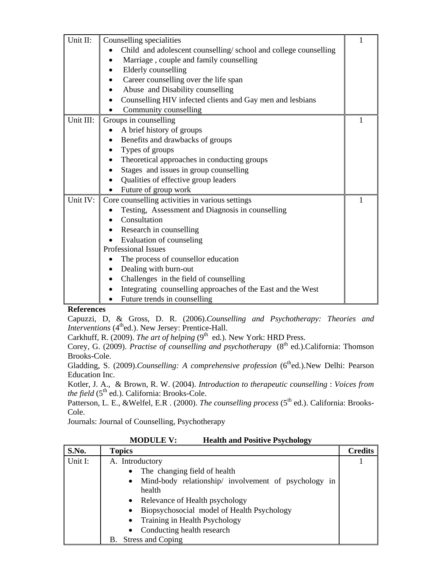| Unit II:  | Counselling specialities                                        |  |
|-----------|-----------------------------------------------------------------|--|
|           | Child and adolescent counselling/school and college counselling |  |
|           | Marriage, couple and family counselling                         |  |
|           | Elderly counselling                                             |  |
|           | Career counselling over the life span                           |  |
|           | Abuse and Disability counselling                                |  |
|           | Counselling HIV infected clients and Gay men and lesbians       |  |
|           | Community counselling                                           |  |
| Unit III: | Groups in counselling                                           |  |
|           | A brief history of groups                                       |  |
|           | Benefits and drawbacks of groups                                |  |
|           | Types of groups                                                 |  |
|           | Theoretical approaches in conducting groups                     |  |
|           | Stages and issues in group counselling                          |  |
|           | Qualities of effective group leaders                            |  |
|           | Future of group work                                            |  |
| Unit IV:  | Core counselling activities in various settings                 |  |
|           | Testing, Assessment and Diagnosis in counselling                |  |
|           | Consultation                                                    |  |
|           | Research in counselling<br>$\bullet$                            |  |
|           | Evaluation of counseling                                        |  |
|           | <b>Professional Issues</b>                                      |  |
|           | The process of counsellor education                             |  |
|           | Dealing with burn-out                                           |  |
|           | Challenges in the field of counselling                          |  |
|           | Integrating counselling approaches of the East and the West     |  |
|           | Future trends in counselling                                    |  |

Capuzzi, D, & Gross, D. R. (2006).*Counselling and Psychotherapy: Theories and Interventions* (4<sup>th</sup>ed.). New Jersey: Prentice-Hall.

Carkhuff, R. (2009). *The art of helping* ( $9<sup>th</sup>$  ed.). New York: HRD Press.

Corey, G. (2009). *Practise of counselling and psychotherapy* (8<sup>th</sup> ed.).California: Thomson Brooks-Cole.

Gladding, S. (2009).*Counselling: A comprehensive profession* (6<sup>th</sup>ed.).New Delhi: Pearson Education Inc.

Kotler, J. A., & Brown, R. W. (2004). *Introduction to therapeutic counselling* : *Voices from the field* (5<sup>th</sup> ed.). California: Brooks-Cole.

Patterson, L. E., &Welfel, E.R . (2000). *The counselling process* (5th ed.). California: Brooks-Cole.

Journals: Journal of Counselling, Psychotherapy

| <b>MODULE V:</b> | <b>Health and Positive Psychology</b> |
|------------------|---------------------------------------|
|                  |                                       |

| S.No.   | <b>Topics</b>                                                     | <b>Credits</b> |
|---------|-------------------------------------------------------------------|----------------|
| Unit I: | A. Introductory                                                   |                |
|         | The changing field of health<br>$\bullet$                         |                |
|         | Mind-body relationship/ involvement of psychology in<br>$\bullet$ |                |
|         | health                                                            |                |
|         | Relevance of Health psychology<br>$\bullet$                       |                |
|         | Biopsychosocial model of Health Psychology<br>$\bullet$           |                |
|         | Training in Health Psychology<br>$\bullet$                        |                |
|         | Conducting health research<br>$\bullet$                           |                |
|         | Stress and Coping<br>В.                                           |                |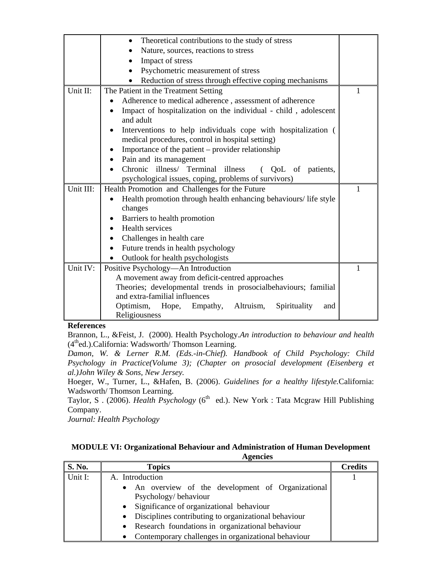|           | Theoretical contributions to the study of stress<br>$\bullet$                                                     |   |
|-----------|-------------------------------------------------------------------------------------------------------------------|---|
|           | Nature, sources, reactions to stress                                                                              |   |
|           | Impact of stress                                                                                                  |   |
|           | Psychometric measurement of stress<br>$\bullet$                                                                   |   |
|           | Reduction of stress through effective coping mechanisms                                                           |   |
| Unit II:  | The Patient in the Treatment Setting                                                                              | 1 |
|           | Adherence to medical adherence, assessment of adherence                                                           |   |
|           | Impact of hospitalization on the individual - child, adolescent<br>and adult                                      |   |
|           | Interventions to help individuals cope with hospitalization (<br>medical procedures, control in hospital setting) |   |
|           | Importance of the patient – provider relationship                                                                 |   |
|           | Pain and its management<br>$\bullet$                                                                              |   |
|           | Chronic illness/ Terminal illness<br>( QoL of patients,                                                           |   |
|           | psychological issues, coping, problems of survivors)                                                              |   |
| Unit III: | Health Promotion and Challenges for the Future                                                                    | 1 |
|           | Health promotion through health enhancing behaviours/life style                                                   |   |
|           | changes                                                                                                           |   |
|           | Barriers to health promotion                                                                                      |   |
|           | Health services                                                                                                   |   |
|           | Challenges in health care                                                                                         |   |
|           | Future trends in health psychology                                                                                |   |
|           | Outlook for health psychologists                                                                                  |   |
| Unit IV:  | Positive Psychology—An Introduction                                                                               | 1 |
|           | A movement away from deficit-centred approaches                                                                   |   |
|           | Theories; developmental trends in prosocialbehaviours; familial                                                   |   |
|           | and extra-familial influences                                                                                     |   |
|           | Optimism, Hope, Empathy,<br>Altruism,<br>Spirituality<br>and                                                      |   |
|           | Religiousness                                                                                                     |   |

Brannon, L., &Feist, J. (2000). Health Psychology.*An introduction to behaviour and health*   $(4<sup>th</sup>ed.)$ .California: Wadsworth/ Thomson Learning.

*Damon, W. & Lerner R.M. (Eds.-in-Chief). Handbook of Child Psychology: Child Psychology in Practice(Volume 3); (Chapter on prosocial development (Eisenberg et al.)John Wiley & Sons, New Jersey.* 

Hoeger, W., Turner, L., &Hafen, B. (2006). *Guidelines for a healthy lifestyle.*California: Wadsworth/ Thomson Learning.

Taylor, S. (2006). *Health Psychology* (6<sup>th</sup> ed.). New York : Tata Mcgraw Hill Publishing Company.

*Journal: Health Psychology* 

| <b>MODULE VI: Organizational Behaviour and Administration of Human Development</b> |                 |
|------------------------------------------------------------------------------------|-----------------|
|                                                                                    | <b>Agencies</b> |

| S. No.  | <b>Topics</b>                                                    | <b>Credits</b> |
|---------|------------------------------------------------------------------|----------------|
| Unit I: | A. Introduction                                                  |                |
|         | • An overview of the development of Organizational               |                |
|         | Psychology/behaviour                                             |                |
|         | Significance of organizational behaviour<br>$\bullet$            |                |
|         | • Disciplines contributing to organizational behaviour           |                |
|         | • Research foundations in organizational behaviour               |                |
|         | Contemporary challenges in organizational behaviour<br>$\bullet$ |                |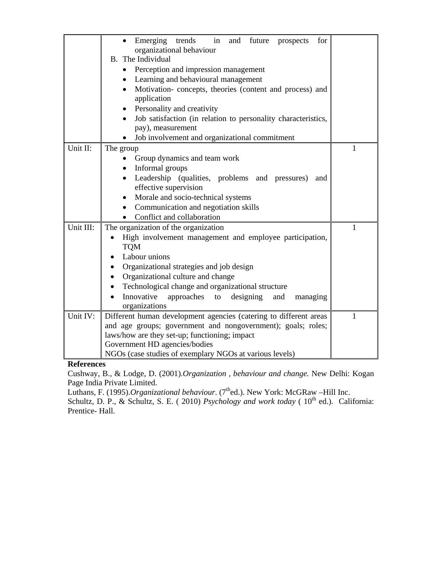|           | Emerging trends<br>in<br>and<br>future prospects<br>for<br>organizational behaviour<br>B. The Individual<br>Perception and impression management<br>Learning and behavioural management |   |
|-----------|-----------------------------------------------------------------------------------------------------------------------------------------------------------------------------------------|---|
|           | Motivation-concepts, theories (content and process) and<br>application                                                                                                                  |   |
|           | Personality and creativity                                                                                                                                                              |   |
|           | Job satisfaction (in relation to personality characteristics,                                                                                                                           |   |
|           | pay), measurement                                                                                                                                                                       |   |
|           | Job involvement and organizational commitment                                                                                                                                           |   |
| Unit II:  | The group                                                                                                                                                                               | 1 |
|           | Group dynamics and team work<br>Informal groups                                                                                                                                         |   |
|           | Leadership (qualities, problems and pressures)<br>and                                                                                                                                   |   |
|           | effective supervision                                                                                                                                                                   |   |
|           | Morale and socio-technical systems<br>$\bullet$                                                                                                                                         |   |
|           | Communication and negotiation skills                                                                                                                                                    |   |
|           | Conflict and collaboration                                                                                                                                                              |   |
| Unit III: | The organization of the organization                                                                                                                                                    | 1 |
|           | High involvement management and employee participation,<br><b>TQM</b>                                                                                                                   |   |
|           | Labour unions                                                                                                                                                                           |   |
|           | Organizational strategies and job design                                                                                                                                                |   |
|           | Organizational culture and change                                                                                                                                                       |   |
|           | Technological change and organizational structure                                                                                                                                       |   |
|           | Innovative<br>approaches<br>designing<br>to<br>and<br>managing                                                                                                                          |   |
|           | organizations                                                                                                                                                                           |   |
| Unit IV:  | Different human development agencies (catering to different areas                                                                                                                       | 1 |
|           | and age groups; government and nongovernment); goals; roles;                                                                                                                            |   |
|           | laws/how are they set-up; functioning; impact<br>Government HD agencies/bodies                                                                                                          |   |
|           | NGOs (case studies of exemplary NGOs at various levels)                                                                                                                                 |   |

Cushway, B., & Lodge, D. (2001).*Organization , behaviour and change.* New Delhi: Kogan Page India Private Limited.

Luthans, F. (1995).*Organizational behaviour*. (7<sup>th</sup>ed.). New York: McGRaw –Hill Inc.

Schultz, D. P., & Schultz, S. E. ( 2010) *Psychology and work today* (  $10^{th}$  ed.). California: Prentice- Hall.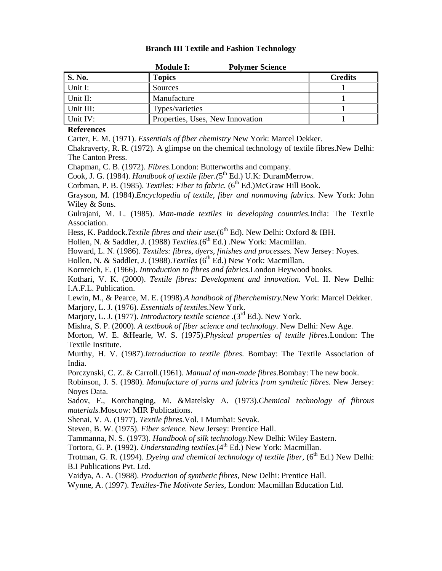## **Branch III Textile and Fashion Technology**

|               | <b>Module I:</b><br><b>Polymer Science</b> |                |
|---------------|--------------------------------------------|----------------|
| <b>S. No.</b> | <b>Topics</b>                              | <b>Credits</b> |
| Unit I:       | Sources                                    |                |
| Unit II:      | Manufacture                                |                |
| Unit III:     | Types/varieties                            |                |
| Unit IV:      | Properties, Uses, New Innovation           |                |

#### **References**

Carter, E. M. (1971). *Essentials of fiber chemistry* New York: Marcel Dekker.

Chakraverty, R. R. (1972). A glimpse on the chemical technology of textile fibres.New Delhi: The Canton Press.

Chapman, C. B. (1972). *Fibres.*London: Butterworths and company.

Cook, J. G. (1984). *Handbook of textile fiber.*(5<sup>th</sup> Ed.) U.K: DuramMerrow.

Corbman, P. B. (1985). *Textiles: Fiber to fabric.* (6<sup>th</sup> Ed.)McGraw Hill Book.

Grayson, M. (1984).*Encyclopedia of textile, fiber and nonmoving fabrics.* New York: John Wiley & Sons.

Gulrajani, M. L. (1985). *Man-made textiles in developing countries.*India: The Textile Association.

Hess, K. Paddock.*Textile fibres and their use*.(6<sup>th</sup> Ed). New Delhi: Oxford & IBH.

Hollen, N. & Saddler, J. (1988) *Textiles*.(6<sup>th</sup> Ed.) New York: Macmillan.

Howard, L. N. (1986). *Textiles: fibres, dyers, finishes and processes.* New Jersey: Noyes.

Hollen, N. & Saddler, J. (1988).*Textiles* (6<sup>th</sup> Ed.) New York: Macmillan.

Kornreich, E. (1966). *Introduction to fibres and fabrics.*London Heywood books.

Kothari, V. K. (2000). *Textile fibres: Development and innovation.* Vol. II. New Delhi: I.A.F.L. Publication.

Lewin, M., & Pearce, M. E. (1998).*A handbook of fiberchemistry.*New York: Marcel Dekker. Marjory, L. J. (1976). *Essentials of textiles.*New York.

Marjory, L. J. (1977). *Introductory textile science* .(3<sup>rd</sup> Ed.). New York.

Mishra, S. P. (2000). *A textbook of fiber science and technology.* New Delhi: New Age.

Morton, W. E. &Hearle, W. S. (1975).*Physical properties of textile fibres.*London: The Textile Institute.

Murthy, H. V. (1987).*Introduction to textile fibres.* Bombay: The Textile Association of India.

Porczynski, C. Z. & Carroll.(1961). *Manual of man-made fibres.*Bombay: The new book.

Robinson, J. S. (1980). *Manufacture of yarns and fabrics from synthetic fibres.* New Jersey: Noyes Data.

Sadov, F., Korchanging, M. &Matelsky A. (1973).*Chemical technology of fibrous materials.*Moscow: MIR Publications.

Shenai, V. A. (1977). *Textile fibres.*Vol. I Mumbai: Sevak.

Steven, B. W. (1975). *Fiber science.* New Jersey: Prentice Hall.

Tammanna, N. S. (1973). *Handbook of silk technology.*New Delhi: Wiley Eastern.

Tortora, G. P. (1992). *Understanding textiles*.(4<sup>th</sup> Ed.) New York: Macmillan.

Trotman, G. R. (1994). *Dyeing and chemical technology of textile fiber*, (6<sup>th</sup> Ed.) New Delhi: B.I Publications Pvt. Ltd.

Vaidya, A. A. (1988). *Production of synthetic fibres,* New Delhi: Prentice Hall.

Wynne, A. (1997). *Textiles-The Motivate Series,* London: Macmillan Education Ltd.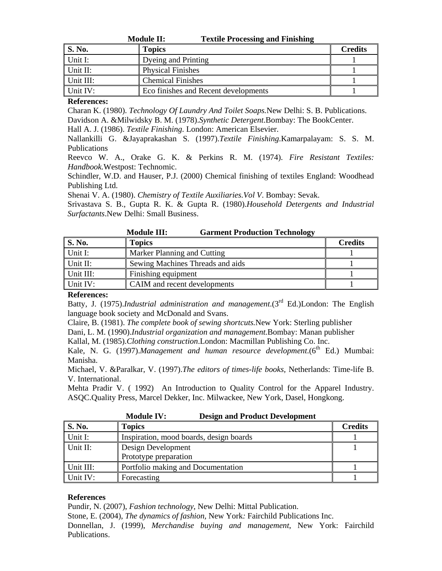|               | <b>Textile Processing and Finishing</b><br><b>Module II:</b> |                |
|---------------|--------------------------------------------------------------|----------------|
| <b>S. No.</b> | <b>Topics</b>                                                | <b>Credits</b> |
| Unit I:       | Dyeing and Printing                                          |                |
| Unit II:      | <b>Physical Finishes</b>                                     |                |
| Unit III:     | <b>Chemical Finishes</b>                                     |                |
| Unit IV:      | Eco finishes and Recent developments                         |                |

Charan K. (1980). *Technology Of Laundry And Toilet Soaps.*New Delhi: S. B. Publications. Davidson A. &Milwidsky B. M. (1978).*Synthetic Detergent*.Bombay: The BookCenter.

Hall A. J. (1986). *Textile Finishing*. London: American Elsevier.

Nallankilli G. &Jayaprakashan S. (1997).*Textile Finishing*.Kamarpalayam: S. S. M. Publications

Reevco W. A., Orake G. K. & Perkins R. M. (1974). *Fire Resistant Textiles: Handbook.*Westpost: Technomic.

Schindler, W.D. and Hauser, P.J. (2000) Chemical finishing of textiles England: Woodhead Publishing Ltd.

Shenai V. A. (1980). *Chemistry of Textile Auxiliaries.Vol V*. Bombay: Sevak.

Srivastava S. B., Gupta R. K. & Gupta R. (1980).*Household Detergents and Industrial Surfactants*.New Delhi: Small Business.

|               | <b>Garment Production Technology</b><br><b>Module III:</b> |                |
|---------------|------------------------------------------------------------|----------------|
| <b>S. No.</b> | <b>Topics</b>                                              | <b>Credits</b> |
| Unit I:       | <b>Marker Planning and Cutting</b>                         |                |
| Unit II:      | Sewing Machines Threads and aids                           |                |
| Unit III:     | Finishing equipment                                        |                |
| Unit IV:      | CAIM and recent developments                               |                |

## **References:**

Batty, J. (1975).*Industrial administration and management*.(3rd Ed.)London: The English language book society and McDonald and Svans.

Claire, B. (1981). *The complete book of sewing shortcuts.*New York: Sterling publisher Dani, L. M. (1990).*Industrial organization and management.*Bombay: Manan publisher Kallal, M. (1985).*Clothing construction*.London: Macmillan Publishing Co. Inc.

Kale, N. G. (1997).*Management and human resource development*.(6<sup>th</sup> Ed.) Mumbai: Manisha.

Michael, V. &Paralkar, V. (1997).*The editors of times-life books,* Netherlands: Time-life B. V. International.

Mehta Pradir V. ( 1992) An Introduction to Quality Control for the Apparel Industry. ASQC.Quality Press, Marcel Dekker, Inc. Milwackee, New York, Dasel, Hongkong.

|               | <b>Module IV:</b><br><b>Design and Product Development</b> |                |
|---------------|------------------------------------------------------------|----------------|
| <b>S. No.</b> | <b>Topics</b>                                              | <b>Credits</b> |
| Unit I:       | Inspiration, mood boards, design boards                    |                |
| Unit II:      | Design Development<br>Prototype preparation                |                |
| Unit III:     | Portfolio making and Documentation                         |                |
| Unit IV:      | Forecasting                                                |                |

## **References**

Pundir, N. (2007), *Fashion technology*, New Delhi: Mittal Publication.

Stone, E. (2004), *The dynamics of fashion,* New York*:* Fairchild Publications Inc.

Donnellan, J. (1999), *Merchandise buying and management*, New York: Fairchild Publications.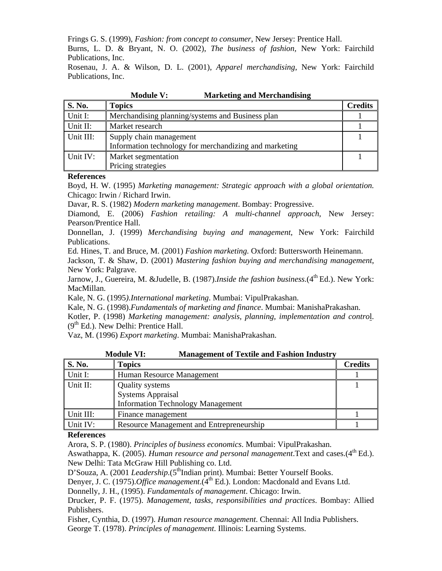Frings G. S. (1999), *Fashion: from concept to consumer*, New Jersey: Prentice Hall.

Burns, L. D. & Bryant, N. O. (2002), *The business of fashion,* New York: Fairchild Publications, Inc.

Rosenau, J. A. & Wilson, D. L. (2001), *Apparel merchandising*, New York: Fairchild Publications, Inc.

| <b>S. No.</b> | <b>Topics</b>                                          | <b>Credits</b> |
|---------------|--------------------------------------------------------|----------------|
| Unit I:       | Merchandising planning/systems and Business plan       |                |
| Unit II:      | Market research                                        |                |
| Unit III:     | Supply chain management                                |                |
|               | Information technology for merchandizing and marketing |                |
| Unit IV:      | Market segmentation                                    |                |
|               | Pricing strategies                                     |                |

**Module V: Marketing and Merchandising** 

#### **References**

Boyd, H. W. (1995) *Marketing management: Strategic approach with a global orientation.* Chicago: Irwin / Richard Irwin.

Davar, R. S. (1982) *Modern marketing management*. Bombay: Progressive.

Diamond, E. (2006) *Fashion retailing: A multi-channel approach*, New Jersey: Pearson/Prentice Hall.

Donnellan, J. (1999) *Merchandising buying and management*, New York: Fairchild Publications.

Ed. Hines, T. and Bruce, M. (2001) *Fashion marketing.* Oxford: Buttersworth Heinemann.

Jackson, T. & Shaw, D. (2001) *Mastering fashion buying and merchandising management*, New York: Palgrave.

Jarnow, J., Guereira, M. &Judelle, B. (1987).*Inside the fashion business*.(4<sup>th</sup> Ed.). New York: MacMillan.

Kale, N. G. (1995*).International marketing*. Mumbai: VipulPrakashan.

Kale, N. G. (1998).*Fundamentals of marketing and finance*. Mumbai: ManishaPrakashan.

Kotler, P. (1998) *Marketing management: analysis, planning, implementation and contro*l.  $(9<sup>th</sup> Ed.)$ . New Delhi: Prentice Hall.

Vaz, M. (1996) *Export marketing*. Mumbai: ManishaPrakashan.

|               | <b>Module VI:</b><br><b>Management of Textile and Fashion Industry</b> |                |
|---------------|------------------------------------------------------------------------|----------------|
| <b>S. No.</b> | <b>Topics</b>                                                          | <b>Credits</b> |
| Unit I:       | Human Resource Management                                              |                |
| Unit II:      | <b>Quality systems</b>                                                 |                |
|               | <b>Systems Appraisal</b>                                               |                |
|               | <b>Information Technology Management</b>                               |                |
| Unit III:     | Finance management                                                     |                |
| Unit IV:      | Resource Management and Entrepreneurship                               |                |

## **References**

Arora, S. P. (1980). *Principles of business economics*. Mumbai: VipulPrakashan.

Aswathappa, K. (2005). *Human resource and personal management*. Text and cases. (4<sup>th</sup> Ed.). New Delhi: Tata McGraw Hill Publishing co. Ltd.

D'Souza, A. (2001 *Leadership*.(5<sup>th</sup>Indian print). Mumbai: Better Yourself Books.

Denyer, J. C. (1975). *Office management*. (4<sup>th</sup> Ed.). London: Macdonald and Evans Ltd.

Donnelly, J. H., (1995). *Fundamentals of management*. Chicago: Irwin.

Drucker, P. F. (1975). *Management, tasks, responsibilities and practices*. Bombay: Allied Publishers.

Fisher, Cynthia, D. (1997). *Human resource management*. Chennai: All India Publishers.

George T. (1978). *Principles of management*. Illinois: Learning Systems.